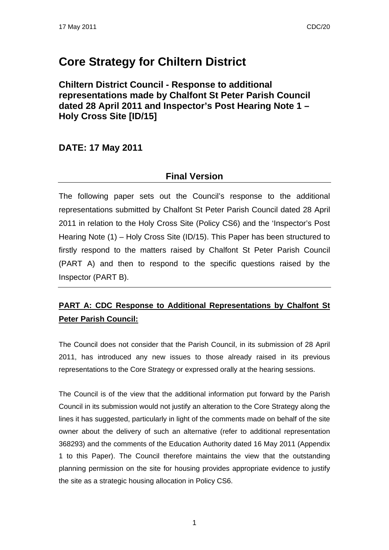# **Core Strategy for Chiltern District**

**Chiltern District Council - Response to additional representations made by Chalfont St Peter Parish Council dated 28 April 2011 and Inspector's Post Hearing Note 1 – Holy Cross Site [ID/15]** 

### **DATE: 17 May 2011**

### **Final Version**

The following paper sets out the Council's response to the additional representations submitted by Chalfont St Peter Parish Council dated 28 April 2011 in relation to the Holy Cross Site (Policy CS6) and the 'Inspector's Post Hearing Note (1) – Holy Cross Site (ID/15). This Paper has been structured to firstly respond to the matters raised by Chalfont St Peter Parish Council (PART A) and then to respond to the specific questions raised by the Inspector (PART B).

## **PART A: CDC Response to Additional Representations by Chalfont St Peter Parish Council:**

The Council does not consider that the Parish Council, in its submission of 28 April 2011, has introduced any new issues to those already raised in its previous representations to the Core Strategy or expressed orally at the hearing sessions.

The Council is of the view that the additional information put forward by the Parish Council in its submission would not justify an alteration to the Core Strategy along the lines it has suggested, particularly in light of the comments made on behalf of the site owner about the delivery of such an alternative (refer to additional representation 368293) and the comments of the Education Authority dated 16 May 2011 (Appendix 1 to this Paper). The Council therefore maintains the view that the outstanding planning permission on the site for housing provides appropriate evidence to justify the site as a strategic housing allocation in Policy CS6.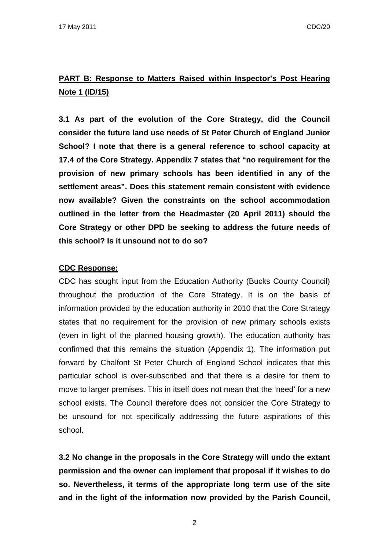## **PART B: Response to Matters Raised within Inspector's Post Hearing Note 1 (ID/15)**

**3.1 As part of the evolution of the Core Strategy, did the Council consider the future land use needs of St Peter Church of England Junior School? I note that there is a general reference to school capacity at 17.4 of the Core Strategy. Appendix 7 states that "no requirement for the provision of new primary schools has been identified in any of the settlement areas". Does this statement remain consistent with evidence now available? Given the constraints on the school accommodation outlined in the letter from the Headmaster (20 April 2011) should the Core Strategy or other DPD be seeking to address the future needs of this school? Is it unsound not to do so?** 

### **CDC Response:**

CDC has sought input from the Education Authority (Bucks County Council) throughout the production of the Core Strategy. It is on the basis of information provided by the education authority in 2010 that the Core Strategy states that no requirement for the provision of new primary schools exists (even in light of the planned housing growth). The education authority has confirmed that this remains the situation (Appendix 1). The information put forward by Chalfont St Peter Church of England School indicates that this particular school is over-subscribed and that there is a desire for them to move to larger premises. This in itself does not mean that the 'need' for a new school exists. The Council therefore does not consider the Core Strategy to be unsound for not specifically addressing the future aspirations of this school.

**3.2 No change in the proposals in the Core Strategy will undo the extant permission and the owner can implement that proposal if it wishes to do so. Nevertheless, it terms of the appropriate long term use of the site and in the light of the information now provided by the Parish Council,**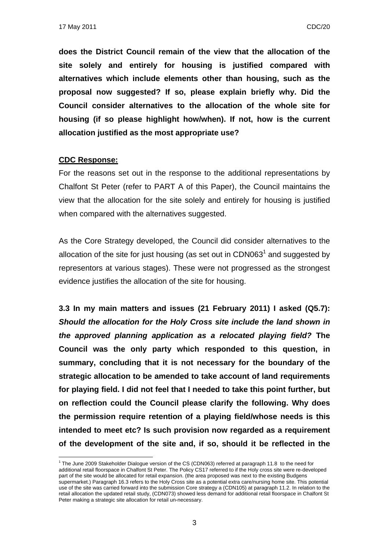**does the District Council remain of the view that the allocation of the site solely and entirely for housing is justified compared with alternatives which include elements other than housing, such as the proposal now suggested? If so, please explain briefly why. Did the Council consider alternatives to the allocation of the whole site for housing (if so please highlight how/when). If not, how is the current allocation justified as the most appropriate use?** 

#### **CDC Response:**

1

For the reasons set out in the response to the additional representations by Chalfont St Peter (refer to PART A of this Paper), the Council maintains the view that the allocation for the site solely and entirely for housing is justified when compared with the alternatives suggested.

As the Core Strategy developed, the Council did consider alternatives to the allocation of the site for just housing (as set out in CDN063 $<sup>1</sup>$  and suggested by</sup> representors at various stages). These were not progressed as the strongest evidence justifies the allocation of the site for housing.

**3.3 In my main matters and issues (21 February 2011) I asked (Q5.7):**  *Should the allocation for the Holy Cross site include the land shown in the approved planning application as a relocated playing field?* **The Council was the only party which responded to this question, in summary, concluding that it is not necessary for the boundary of the strategic allocation to be amended to take account of land requirements for playing field. I did not feel that I needed to take this point further, but on reflection could the Council please clarify the following. Why does the permission require retention of a playing field/whose needs is this intended to meet etc? Is such provision now regarded as a requirement of the development of the site and, if so, should it be reflected in the** 

<sup>&</sup>lt;sup>1</sup> The June 2009 Stakeholder Dialogue version of the CS (CDN063) referred at paragraph 11.8 to the need for additional retail floorspace in Chalfont St Peter. The Policy CS17 referred to if the Holy cross site were re-developed part of the site would be allocated for retail expansion. (the area proposed was next to the existing Budgens supermarket.) Paragraph 16.3 refers to the Holy Cross site as a potential extra care/nursing home site. This potential use of the site was carried forward into the submission Core strategy a (CDN105) at paragraph 11.2. In relation to the retail allocation the updated retail study, (CDN073) showed less demand for additional retail floorspace in Chalfont St Peter making a strategic site allocation for retail un-necessary.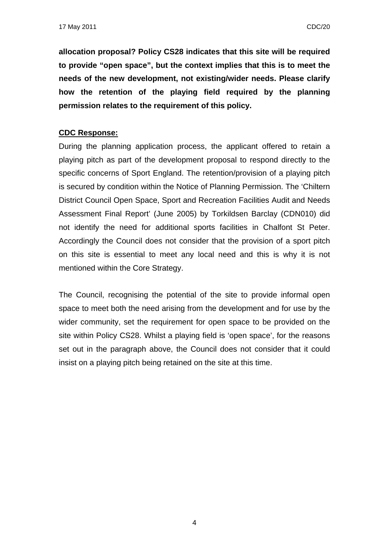**allocation proposal? Policy CS28 indicates that this site will be required to provide "open space", but the context implies that this is to meet the needs of the new development, not existing/wider needs. Please clarify how the retention of the playing field required by the planning permission relates to the requirement of this policy.** 

### **CDC Response:**

During the planning application process, the applicant offered to retain a playing pitch as part of the development proposal to respond directly to the specific concerns of Sport England. The retention/provision of a playing pitch is secured by condition within the Notice of Planning Permission. The 'Chiltern District Council Open Space, Sport and Recreation Facilities Audit and Needs Assessment Final Report' (June 2005) by Torkildsen Barclay (CDN010) did not identify the need for additional sports facilities in Chalfont St Peter. Accordingly the Council does not consider that the provision of a sport pitch on this site is essential to meet any local need and this is why it is not mentioned within the Core Strategy.

The Council, recognising the potential of the site to provide informal open space to meet both the need arising from the development and for use by the wider community, set the requirement for open space to be provided on the site within Policy CS28. Whilst a playing field is 'open space', for the reasons set out in the paragraph above, the Council does not consider that it could insist on a playing pitch being retained on the site at this time.

4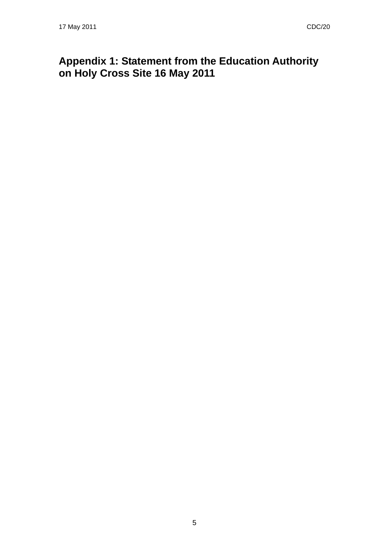# **Appendix 1: Statement from the Education Authority on Holy Cross Site 16 May 2011**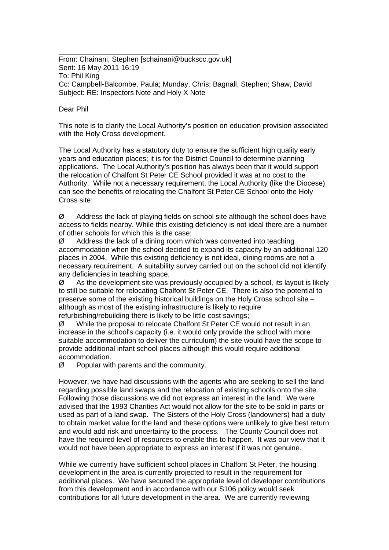From: Chainani, Stephen [schainani@buckscc.gov.uk] Sent: 16 May 2011 16:19 To: Phil King Cc: Campbell-Balcombe, Paula; Munday, Chris; Bagnall, Stephen; Shaw, David Subject: RE: Inspectors Note and Holy X Note

\_\_\_\_\_\_\_\_\_\_\_\_\_\_\_\_\_\_\_\_\_\_\_\_\_\_\_\_\_\_\_\_\_\_\_\_\_\_\_\_

#### Dear Phil

This note is to clarify the Local Authority's position on education provision associated with the Holy Cross development.

The Local Authority has a statutory duty to ensure the sufficient high quality early years and education places; it is for the District Council to determine planning applications. The Local Authority's position has always been that it would support the relocation of Chalfont St Peter CE School provided it was at no cost to the Authority. While not a necessary requirement, the Local Authority (like the Diocese) can see the benefits of relocating the Chalfont St Peter CE School onto the Holy Cross site:

Ø Address the lack of playing fields on school site although the school does have access to fields nearby. While this existing deficiency is not ideal there are a number of other schools for which this is the case;

 $\varnothing$  Address the lack of a dining room which was converted into teaching accommodation when the school decided to expand its capacity by an additional 120 places in 2004. While this existing deficiency is not ideal, dining rooms are not a necessary requirement. A suitability survey carried out on the school did not identify any deficiencies in teaching space.

 $\varnothing$  As the development site was previously occupied by a school, its layout is likely to still be suitable for relocating Chalfont St Peter CE. There is also the potential to preserve some of the existing historical buildings on the Holy Cross school site – although as most of the existing infrastructure is likely to require refurbishing/rebuilding there is likely to be little cost savings;

Ø While the proposal to relocate Chalfont St Peter CE would not result in an increase in the school's capacity (i.e. it would only provide the school with more suitable accommodation to deliver the curriculum) the site would have the scope to provide additional infant school places although this would require additional accommodation.

Ø Popular with parents and the community.

However, we have had discussions with the agents who are seeking to sell the land regarding possible land swaps and the relocation of existing schools onto the site. Following those discussions we did not express an interest in the land. We were advised that the 1993 Charities Act would not allow for the site to be sold in parts or used as part of a land swap. The Sisters of the Holy Cross (landowners) had a duty to obtain market value for the land and these options were unlikely to give best return and would add risk and uncertainty to the process. The County Council does not have the required level of resources to enable this to happen. It was our view that it would not have been appropriate to express an interest if it was not genuine.

While we currently have sufficient school places in Chalfont St Peter, the housing development in the area is currently projected to result in the requirement for additional places. We have secured the appropriate level of developer contributions from this development and in accordance with our S106 policy would seek contributions for all future development in the area. We are currently reviewing